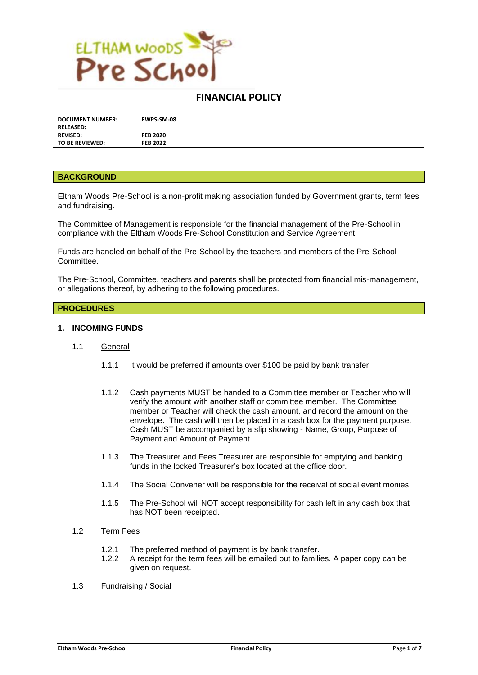

# **FINANCIAL POLICY**

| <b>DOCUMENT NUMBER:</b> | <b>EWPS-SM-08</b> |
|-------------------------|-------------------|
| <b>RELEASED:</b>        |                   |
| <b>REVISED:</b>         | <b>FEB 2020</b>   |
| TO BE REVIEWED:         | <b>FEB 2022</b>   |

#### **BACKGROUND**

Eltham Woods Pre-School is a non-profit making association funded by Government grants, term fees and fundraising.

The Committee of Management is responsible for the financial management of the Pre-School in compliance with the Eltham Woods Pre-School Constitution and Service Agreement.

Funds are handled on behalf of the Pre-School by the teachers and members of the Pre-School Committee.

The Pre-School, Committee, teachers and parents shall be protected from financial mis-management, or allegations thereof, by adhering to the following procedures.

#### **PROCEDURES**

#### **1. INCOMING FUNDS**

#### 1.1 General

- 1.1.1 It would be preferred if amounts over \$100 be paid by bank transfer
- 1.1.2 Cash payments MUST be handed to a Committee member or Teacher who will verify the amount with another staff or committee member. The Committee member or Teacher will check the cash amount, and record the amount on the envelope. The cash will then be placed in a cash box for the payment purpose. Cash MUST be accompanied by a slip showing - Name, Group, Purpose of Payment and Amount of Payment.
- 1.1.3 The Treasurer and Fees Treasurer are responsible for emptying and banking funds in the locked Treasurer's box located at the office door.
- 1.1.4 The Social Convener will be responsible for the receival of social event monies.
- 1.1.5 The Pre-School will NOT accept responsibility for cash left in any cash box that has NOT been receipted.
- 1.2 Term Fees
	- 1.2.1 The preferred method of payment is by bank transfer.
	- 1.2.2 A receipt for the term fees will be emailed out to families. A paper copy can be given on request.
- 1.3 Fundraising / Social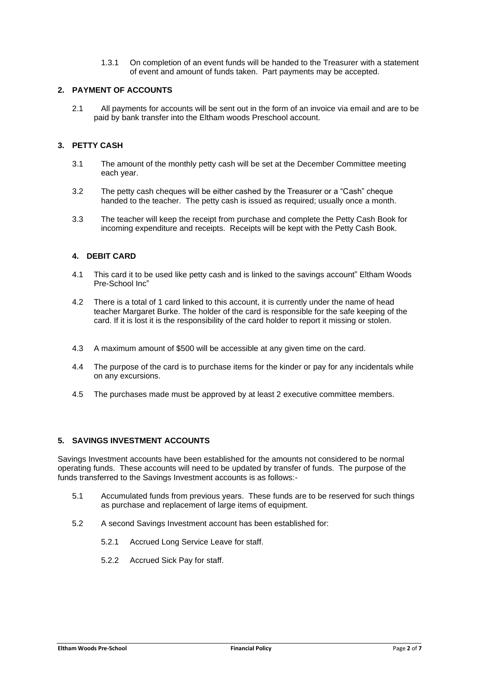1.3.1 On completion of an event funds will be handed to the Treasurer with a statement of event and amount of funds taken. Part payments may be accepted.

### **2. PAYMENT OF ACCOUNTS**

2.1 All payments for accounts will be sent out in the form of an invoice via email and are to be paid by bank transfer into the Eltham woods Preschool account.

## **3. PETTY CASH**

- 3.1 The amount of the monthly petty cash will be set at the December Committee meeting each year.
- 3.2 The petty cash cheques will be either cashed by the Treasurer or a "Cash" cheque handed to the teacher. The petty cash is issued as required; usually once a month.
- 3.3 The teacher will keep the receipt from purchase and complete the Petty Cash Book for incoming expenditure and receipts. Receipts will be kept with the Petty Cash Book.

### **4. DEBIT CARD**

- 4.1 This card it to be used like petty cash and is linked to the savings account" Eltham Woods Pre-School Inc"
- 4.2 There is a total of 1 card linked to this account, it is currently under the name of head teacher Margaret Burke. The holder of the card is responsible for the safe keeping of the card. If it is lost it is the responsibility of the card holder to report it missing or stolen.
- 4.3 A maximum amount of \$500 will be accessible at any given time on the card.
- 4.4 The purpose of the card is to purchase items for the kinder or pay for any incidentals while on any excursions.
- 4.5 The purchases made must be approved by at least 2 executive committee members.

### **5. SAVINGS INVESTMENT ACCOUNTS**

Savings Investment accounts have been established for the amounts not considered to be normal operating funds. These accounts will need to be updated by transfer of funds. The purpose of the funds transferred to the Savings Investment accounts is as follows:-

- 5.1 Accumulated funds from previous years. These funds are to be reserved for such things as purchase and replacement of large items of equipment.
- 5.2 A second Savings Investment account has been established for:
	- 5.2.1 Accrued Long Service Leave for staff.
	- 5.2.2 Accrued Sick Pay for staff.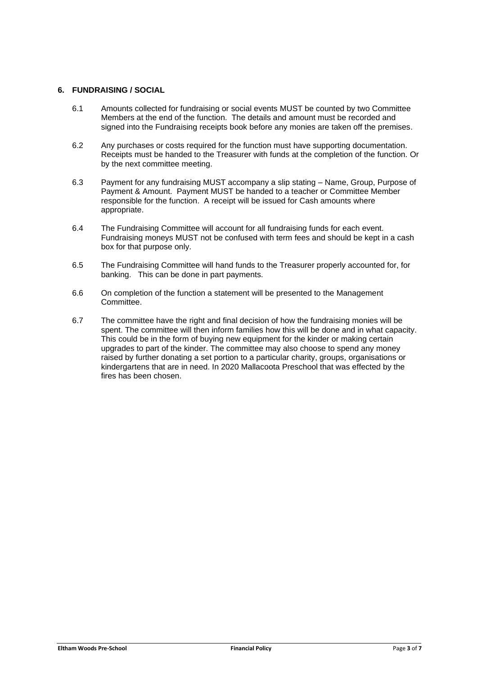### **6. FUNDRAISING / SOCIAL**

- 6.1 Amounts collected for fundraising or social events MUST be counted by two Committee Members at the end of the function. The details and amount must be recorded and signed into the Fundraising receipts book before any monies are taken off the premises.
- 6.2 Any purchases or costs required for the function must have supporting documentation. Receipts must be handed to the Treasurer with funds at the completion of the function. Or by the next committee meeting.
- 6.3 Payment for any fundraising MUST accompany a slip stating Name, Group, Purpose of Payment & Amount. Payment MUST be handed to a teacher or Committee Member responsible for the function. A receipt will be issued for Cash amounts where appropriate.
- 6.4 The Fundraising Committee will account for all fundraising funds for each event. Fundraising moneys MUST not be confused with term fees and should be kept in a cash box for that purpose only.
- 6.5 The Fundraising Committee will hand funds to the Treasurer properly accounted for, for banking. This can be done in part payments.
- 6.6 On completion of the function a statement will be presented to the Management Committee.
- 6.7 The committee have the right and final decision of how the fundraising monies will be spent. The committee will then inform families how this will be done and in what capacity. This could be in the form of buying new equipment for the kinder or making certain upgrades to part of the kinder. The committee may also choose to spend any money raised by further donating a set portion to a particular charity, groups, organisations or kindergartens that are in need. In 2020 Mallacoota Preschool that was effected by the fires has been chosen.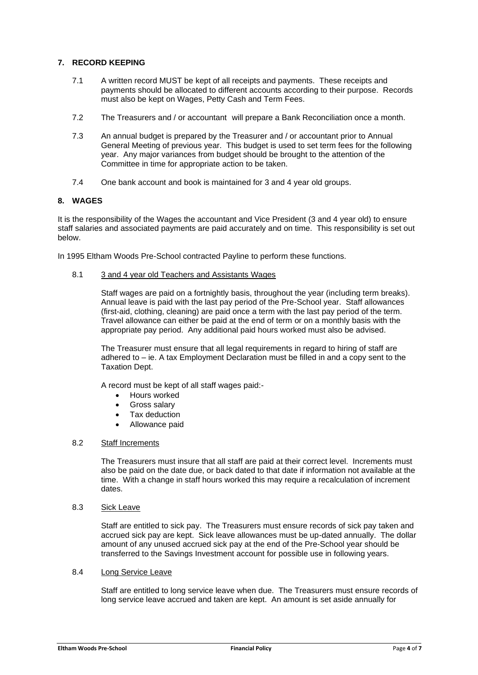### **7. RECORD KEEPING**

- 7.1 A written record MUST be kept of all receipts and payments. These receipts and payments should be allocated to different accounts according to their purpose. Records must also be kept on Wages, Petty Cash and Term Fees.
- 7.2 The Treasurers and / or accountant will prepare a Bank Reconciliation once a month.
- 7.3 An annual budget is prepared by the Treasurer and / or accountant prior to Annual General Meeting of previous year. This budget is used to set term fees for the following year. Any major variances from budget should be brought to the attention of the Committee in time for appropriate action to be taken.
- 7.4 One bank account and book is maintained for 3 and 4 year old groups.

### **8. WAGES**

It is the responsibility of the Wages the accountant and Vice President (3 and 4 year old) to ensure staff salaries and associated payments are paid accurately and on time. This responsibility is set out below.

In 1995 Eltham Woods Pre-School contracted Payline to perform these functions.

### 8.1 3 and 4 year old Teachers and Assistants Wages

Staff wages are paid on a fortnightly basis, throughout the year (including term breaks). Annual leave is paid with the last pay period of the Pre-School year. Staff allowances (first-aid, clothing, cleaning) are paid once a term with the last pay period of the term. Travel allowance can either be paid at the end of term or on a monthly basis with the appropriate pay period. Any additional paid hours worked must also be advised.

The Treasurer must ensure that all legal requirements in regard to hiring of staff are adhered to – ie. A tax Employment Declaration must be filled in and a copy sent to the Taxation Dept.

A record must be kept of all staff wages paid:-

- Hours worked
- Gross salary
- Tax deduction
- Allowance paid

#### 8.2 Staff Increments

The Treasurers must insure that all staff are paid at their correct level. Increments must also be paid on the date due, or back dated to that date if information not available at the time. With a change in staff hours worked this may require a recalculation of increment dates.

8.3 Sick Leave

Staff are entitled to sick pay. The Treasurers must ensure records of sick pay taken and accrued sick pay are kept. Sick leave allowances must be up-dated annually. The dollar amount of any unused accrued sick pay at the end of the Pre-School year should be transferred to the Savings Investment account for possible use in following years.

### 8.4 Long Service Leave

Staff are entitled to long service leave when due. The Treasurers must ensure records of long service leave accrued and taken are kept. An amount is set aside annually for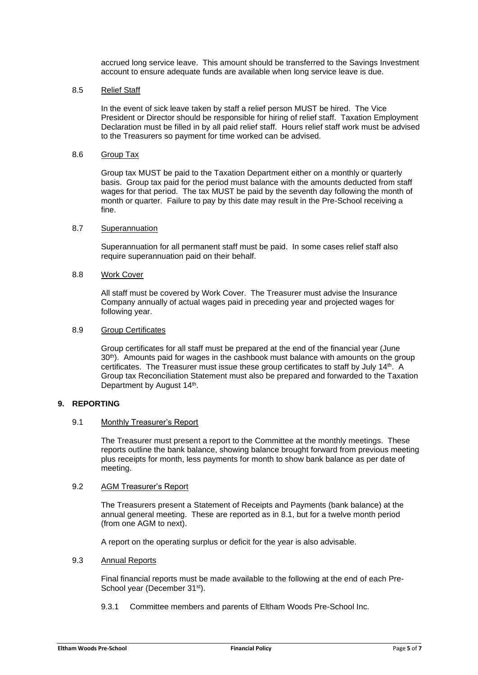accrued long service leave. This amount should be transferred to the Savings Investment account to ensure adequate funds are available when long service leave is due.

#### 8.5 Relief Staff

In the event of sick leave taken by staff a relief person MUST be hired. The Vice President or Director should be responsible for hiring of relief staff. Taxation Employment Declaration must be filled in by all paid relief staff. Hours relief staff work must be advised to the Treasurers so payment for time worked can be advised.

#### 8.6 Group Tax

Group tax MUST be paid to the Taxation Department either on a monthly or quarterly basis. Group tax paid for the period must balance with the amounts deducted from staff wages for that period. The tax MUST be paid by the seventh day following the month of month or quarter. Failure to pay by this date may result in the Pre-School receiving a fine.

#### 8.7 Superannuation

Superannuation for all permanent staff must be paid. In some cases relief staff also require superannuation paid on their behalf.

#### 8.8 Work Cover

All staff must be covered by Work Cover. The Treasurer must advise the Insurance Company annually of actual wages paid in preceding year and projected wages for following year.

### 8.9 Group Certificates

Group certificates for all staff must be prepared at the end of the financial year (June  $30<sup>th</sup>$ ). Amounts paid for wages in the cashbook must balance with amounts on the group certificates. The Treasurer must issue these group certificates to staff by July 14th. A Group tax Reconciliation Statement must also be prepared and forwarded to the Taxation Department by August 14<sup>th</sup>.

### **9. REPORTING**

#### 9.1 Monthly Treasurer's Report

The Treasurer must present a report to the Committee at the monthly meetings. These reports outline the bank balance, showing balance brought forward from previous meeting plus receipts for month, less payments for month to show bank balance as per date of meeting.

### 9.2 AGM Treasurer's Report

The Treasurers present a Statement of Receipts and Payments (bank balance) at the annual general meeting. These are reported as in 8.1, but for a twelve month period (from one AGM to next).

A report on the operating surplus or deficit for the year is also advisable.

#### 9.3 Annual Reports

Final financial reports must be made available to the following at the end of each Pre-School year (December 31<sup>st</sup>).

9.3.1 Committee members and parents of Eltham Woods Pre-School Inc.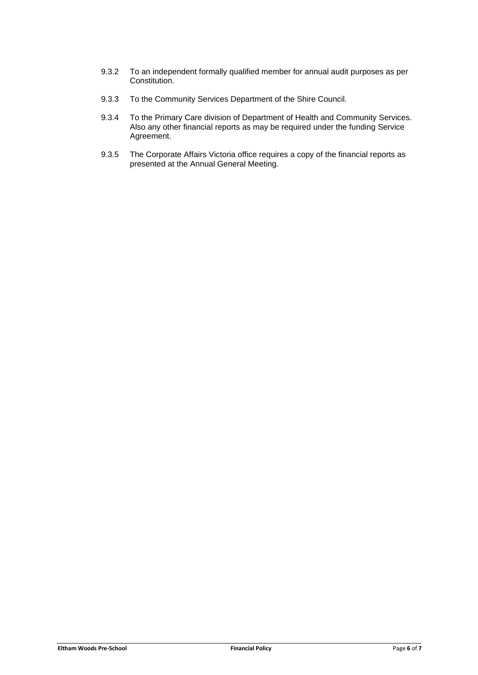- 9.3.2 To an independent formally qualified member for annual audit purposes as per Constitution.
- 9.3.3 To the Community Services Department of the Shire Council.
- 9.3.4 To the Primary Care division of Department of Health and Community Services. Also any other financial reports as may be required under the funding Service Agreement.
- 9.3.5 The Corporate Affairs Victoria office requires a copy of the financial reports as presented at the Annual General Meeting.